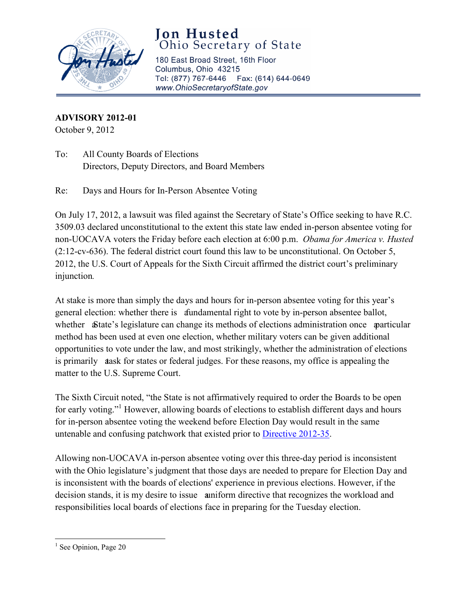

## **Jon Husted**  Ohio Secretary of State

180 East Broad Street, 16th Floor Columbus, Ohio 43215 Tel: (877) 767-6446 Fax: (614) 644-0649 www.OhioSecretaryofState.gov

**ADVISORY 2012-01** October 9, 2012

To: All County Boards of Elections Directors, Deputy Directors, and Board Members

Re: Days and Hours for In-Person Absentee Voting

On July 17, 2012, a lawsuit was filed against the Secretary of State's Office seeking to have R.C. 3509.03 declared unconstitutional to the extent this state law ended in-person absentee voting for non-UOCAVA voters the Friday before each election at 6:00 p.m. *Obama for America v. Husted*  $(2:12$ -cv-636). The federal district court found this law to be unconstitutional. On October 5, 2012, the U.S. Court of Appeals for the Sixth Circuit affirmed the district court's preliminary injunction.

At stake is more than simply the days and hours for in-person absentee voting for this year's method has been used at even one election, whether military voters can be given additional general election: whether there is dundamental right to vote by in-person absentee ballot, whether State's legislature can change its methods of elections administration once particular opportunities to vote under the law, and most strikingly, whether the administration of elections is primarily dask for states or federal judges. For these reasons, my office is appealing the matter to the U.S. Supreme Court.

untenable and confusing patchwork that existed prior to **Directive 2012-35**. The Sixth Circuit noted, "the State is not affirmatively required to order the Boards to be open for early voting."<sup>1</sup> However, allowing boards of elections to establish different days and hours for in-person absentee voting the weekend before Election Day would result in the same

with the Ohio legislature's judgment that those days are needed to prepare for Election Day and Allowing non-UOCAVA in-person absentee voting over this three-day period is inconsistent is inconsistent with the boards of elections' experience in previous elections. However, if the decision stands, it is my desire to issue a uniform directive that recognizes the workload and responsibilities local boards of elections face in preparing for the Tuesday election.

l

<sup>&</sup>lt;sup>1</sup> See Opinion, Page 20